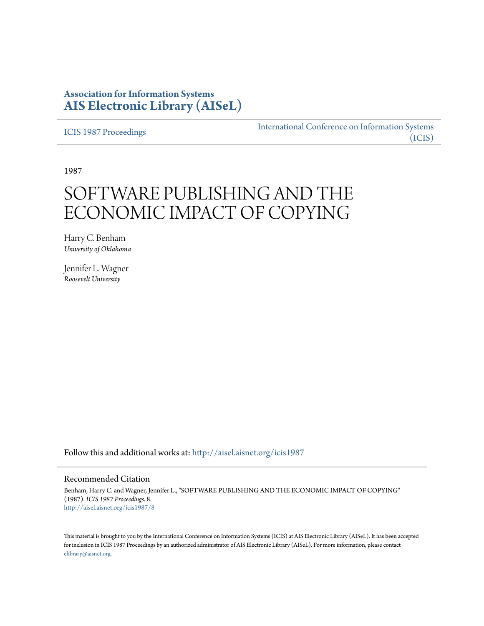# **Association for Information Systems [AIS Electronic Library \(AISeL\)](http://aisel.aisnet.org?utm_source=aisel.aisnet.org%2Ficis1987%2F8&utm_medium=PDF&utm_campaign=PDFCoverPages)**

[ICIS 1987 Proceedings](http://aisel.aisnet.org/icis1987?utm_source=aisel.aisnet.org%2Ficis1987%2F8&utm_medium=PDF&utm_campaign=PDFCoverPages)

[International Conference on Information Systems](http://aisel.aisnet.org/icis?utm_source=aisel.aisnet.org%2Ficis1987%2F8&utm_medium=PDF&utm_campaign=PDFCoverPages) [\(ICIS\)](http://aisel.aisnet.org/icis?utm_source=aisel.aisnet.org%2Ficis1987%2F8&utm_medium=PDF&utm_campaign=PDFCoverPages)

1987

# SOFTWARE PUBLISHING AND THE ECONOMIC IMPACT OF COPYING

Harry C. Benham *University of Oklahoma*

Jennifer L. Wagner *Roosevelt University*

Follow this and additional works at: [http://aisel.aisnet.org/icis1987](http://aisel.aisnet.org/icis1987?utm_source=aisel.aisnet.org%2Ficis1987%2F8&utm_medium=PDF&utm_campaign=PDFCoverPages)

### Recommended Citation

Benham, Harry C. and Wagner, Jennifer L., "SOFTWARE PUBLISHING AND THE ECONOMIC IMPACT OF COPYING" (1987). *ICIS 1987 Proceedings*. 8. [http://aisel.aisnet.org/icis1987/8](http://aisel.aisnet.org/icis1987/8?utm_source=aisel.aisnet.org%2Ficis1987%2F8&utm_medium=PDF&utm_campaign=PDFCoverPages)

This material is brought to you by the International Conference on Information Systems (ICIS) at AIS Electronic Library (AISeL). It has been accepted for inclusion in ICIS 1987 Proceedings by an authorized administrator of AIS Electronic Library (AISeL). For more information, please contact [elibrary@aisnet.org.](mailto:elibrary@aisnet.org%3E)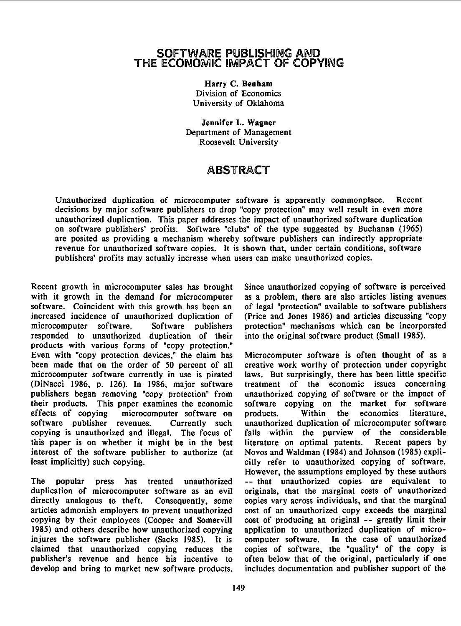## SOFTWARE PUBLISHING AND THE ECONOMIC IMPACT OF COPYING

Harry C. Benham Division of Economics University of Oklahoma

Jennifer L. Wagner Department of Management Roosevelt University

# ABSTRACT

Unauthorized duplication of microcomputer software is apparently commonplace. Recent decisions by major software publishers to drop "copy protection" may well result in even more unauthorized duplication. This paper addresses the impact of unauthorized software duplication on software publishers' profits. Software "clubs" of the type suggested by Buchanan (1965) are posited as providing a mechanism whereby software publishers can indirectly appropriate revenue for unauthorized software copies. It is shown that, under certain conditions, software publishers' profits may actually increase when users can make unauthorized copies.

Recent growth in microcomputer sales has brought Since unauthorized copying of software is perceived with it growth in the demand for microcomputer as a problem, there are also articles listing avenues software. Coincident with this growth has been an of legal "protection" available to software publishers<br>increased incidence of unauthorized duplication of (Price and Jones 1986) and articles discussing "copy increased incidence of unauthorized duplication of microcomputer software. Software publishers responded to unauthorized duplication of their into the original software product (Small 1985). products with various forms of "copy protection." Even with "copy protection devices," the claim has Microcomputer software is often thought of as a been made that on the order of 50 percent of all creative work worthy of protection under copyright been made that on the order of 50 percent of all microcomputer software currently in use is pirated laws. But surprisingly, there has been little specific (DiNacci 1986, p. 126). In 1986, major software treatment of the economic issues concerning publishers began removing "copy protection" from unauthorized copying of software or the impact of their products. This paper examines the economic software copying on the market for software effects of copying microcomputer software on products. Within the economics literature, software publisher revenues. Currently such unauthorized duplication of microcomputer software copying is unauthorized and illegal. The focus of falls within the purview of the considerable<br>this paper is on whether it might be in the best literature on optimal patents. Recent papers by this paper is on whether it might be in the best interest of the software publisher to authorize (at Novos and Waldman (1984) and Johnson (1985) expli-

The popular press has treated unauthorized -- that unauthorized copies are equivalent to duplication of microcomputer software as an evil originals, that the marginal costs of unauthorized directly analogous to theft. Consequently, some copies vary across individuals, and that the marginal articles admonish employers to prevent unauthorized cost of an unauthorized copy exceeds the marginal copying by their employees (Cooper and Somervill cost of producing an original -- greatly limit their<br>1985) and others describe how unauthorized copying application to unauthorized duplication of micro-1985) and others describe how unauthorized copying application to unauthorized duplication of micro-<br>injures the software publisher (Sacks 1985). It is computer software. In the case of unauthorized injures the software publisher (Sacks 1985). It is computer software. claimed that unauthorized copying reduces the copies of software, the "quality" of the copy is publisher's revenue and hence his incentive to often below that of the original, particularly if one

Software publishers protection" mechanisms which can be incorporated

least implicitly) such copying. Citly refer to unauthorized copying of software. However, the assumptions employed by these authors develop and bring to market new software products. includes documentation and publisher support of the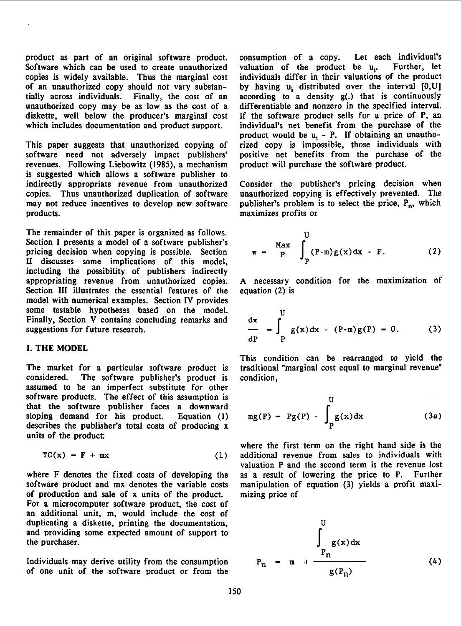Software which can be used to create unauthorized valuation of the product be  $u_i$ . Further, let copies is widely available. Thus the marginal cost individuals differ in their valuations of the product copies is widely available. Thus the marginal cost individuals differ in their valuations of the product of an unauthorized copy should not vary substan-<br>by having  $u_i$  distributed over the interval  $[0, U]$ of an unauthorized copy should not vary substan-<br>tially across individuals. Finally, the cost of an according to a density  $g(.)$  that is continuously unauthorized copy may be as low as the cost of <sup>a</sup> differentiable and nonzero in the specified interval. diskette, well below the producer's marginal cost If the software product sells for a price of P, an which includes documentation and product support. individual's net benefit from the purchase of the

This paper suggests that unauthorized copying of software need not adversely impact publishers' positive net benefits from the purchase of the revenues. Following Liebowitz (1985), <sup>a</sup> mechanism product will purchase the software product. is suggested which allows a software publisher to indirectly appropriate revenue from unauthorized Consider the publisher's pricing decision when copies. Thus unauthorized duplication of software unauthorized copying is effectively prevented. The may not reduce incentives to develop new software publisher's problem is to select the price,  $P_n$ , which products. maximizes profits or

The remainder of this paper is organized as follows. Section I presents a model of a software publisher's pricing decision when copying is possible. Section II discusses some implications of this model, including the possibility of publishers indirectly appropriating revenue from unauthorized copies. A necessary condition for the maximization of Section III illustrates the essential features of the equation (2) is model with numerical examples. Section IV provides some testable hypotheses based on the model.

### I. THE MODEL

The market for <sup>a</sup> particular software product is traditional "marginal cost equal to marginal revenue" considered. The software publisher's product is condition, assumed to be an imperfect substitute for other software products. The effect of this assumption is that the software publisher faces a downward sloping demand for his product. Equation  $(1)$ describes the publisher's total costs of producing  $x$ units of the product

$$
TC(x) = F + mx \tag{1}
$$

where F denotes the fixed costs of developing the as <sup>a</sup> result of lowering the price to P. Further software product and mx denotes the variable costs manipulation of equation (3) yields a profit maxiof production and sate of x units of the product. mizing price of For <sup>a</sup> microcomputer software product, the cost of an additional unit, m, would include the cost of duplicating a diskette, printing the documentation, and providing some expected amount of support to the purchaser.

Individuals may derive utility from the consumption of one unit of the software product or from the

product as part of an original software product. consumption of a copy. Let each individual's Software which can be used to create unauthorized valuation of the product be  $u_i$ . Further, let  $according$  to a density  $g(.)$  that is continuously individual's net benefit from the purchase of the product would be  $u_i$  - P. If obtaining an unautho-<br>rized copy is impossible, those individuals with

unauthorized copying is effectively prevented. The

$$
\pi = \frac{Max}{P} \int_{P}^{U} (P-m)g(x) dx - F.
$$
 (2)

some testable hypotheses based on the model.  
Finally, Section V contains concluding remarks and  
suggestions for future research.  

$$
-\int_{\text{dP}} g(x) dx - (P-m)g(P) = 0.
$$
 (3)

This condition can be rearranged to yield the

$$
mg(P) - Pg(P) - \int_P g(x) dx
$$
 (3a)

where the first term on the right hand side is the additional revenue from sales to individuals with valuation P and the second term is the revenue lost

$$
P_n = m + \frac{\int_{P_n}^{U} g(x) dx}{g(P_n)}
$$
 (4)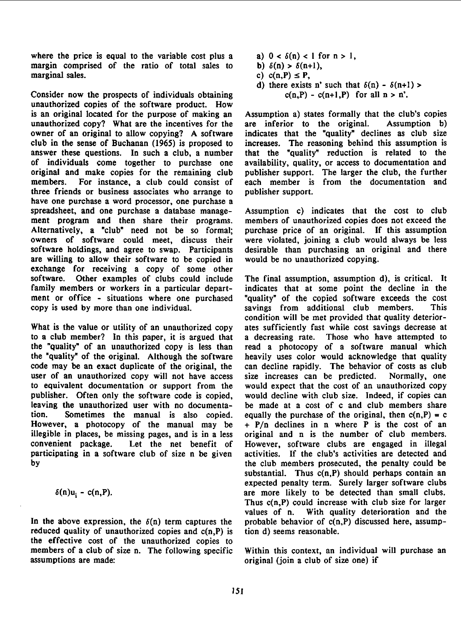where the price is equal to the variable cost plus a a)  $0 < \delta(n) < 1$  for  $n > 1$ , margin comprised of the ratio of total sales to b)  $\delta(n) > \delta(n+1)$ , marginal sales. c) c(n,P)  $\leq$  P,

Consider now the prospects of individuals obtaining  $c(n,P) - c(n+1,P)$  for all  $n > n'$ . unauthorized copies of the software product. How is an original located for the purpose of making an Assumption a) states formally that the club's copies unauthorized copy? What are the incentives for the are inferior to the original. Assumption b) owner of an original to allow copying? A software indicates that the "quality" declines as club size club in the sense of Buchanan (1965) is proposed to increases. The reasoning behind this assumption is of individuals come together to purchase one availability, quality, or access to documentation and original and make copies for the remaining club publisher support. The larger the club, the further members. For instance, a club could consist of each member is from the documentation and members. For instance, a club could consist of each member is from the documentation and three friends or business associates who arrange to publisher support. three friends or business associates who arrange to have one purchase a word processor, one purchase a spreadsheet, and one purchase a database manage- Assumption c) indicates that the cost to club ment program and then share their programs. members of unauthorized copies does not exceed the Alternatively, a "club" need not be so formal; purchase price of an original. If this assumption owners of software could meet, discuss their were violated, joining a club would always be less owners of software could meet, discuss their software holdings, and agree to swap. Participants are willing to allow their software to be copied in would be no unauthorized copying. exchange for receiving <sup>a</sup> copy of some other software. Other examples of clubs could include The final assumption, assumption d), is critical. It family members or workers in a particular depart- indicates that at some point the decline in the ment or office - situations where one purchased "quality" of the copied software exceeds the cost copy is used by more than one individual. savings from additional club members. This

What is the value or utility of an unauthorized copy ates sufficiently fast while cost savings decrease at to a club member? In this paper, it is argued that a decreasing rate. Those who have attempted to the "quality" of an unauthorized copy is less than read a photocopy of a software manual which the "quality" of an unauthorized copy is less than the "quality" of the original. Although the software heavily uses color would acknowledge that quality code may be an exact duplicate of the original, the can decline rapidly. The behavior of costs as club user of an unauthorized copy will not have access size increases can be predicted. Normally, one<br>to equivalent documentation or support from the would expect that the cost of an unauthorized copy to equivalent documentation or support from the publisher. Often only the software code is copied, would decline with club size. Indeed, if copies can leaving the unauthorized user with no documenta- be made at a cost of c and club members share tion. Sometimes the manual is also copied. equally the purchase of the original, then  $c(n,P) = c$ However, a photocopy of the manual may be  $+ P/n$  declines in n where P is the cost of an illegible in places, be missing pages, and is in a less original and n is the number of club members. convenient package. Let the net benefit of However, software clubs are engaged in illegal participating in a software club of size n be given activities. If the club's activities are detected and<br>by the club members prosecuted, the penalty could be

reduced quality of unauthorized copies and  $c(n,P)$  is tion d) seems reasonable. the effective cost of the unauthorized copies to members of <sup>a</sup> club of size n. The following specific Within this context, an individual will purchase an assumptions are made: original (join <sup>a</sup> club of size one) if

- 
- 
- 
- d) there exists n' such that  $\delta(n)$   $\delta(n+1)$  >

that the "quality" reduction is related to the

desirable than purchasing an original and there

condition will be met provided that quality deteriorby the club members prosecuted, the penalty could be substantial. Thus  $c(n, P)$  should perhaps contain an expected penalty term. Surely larger software clubs  $\delta(n)u_i - c(n,P)$ . are more likely to be detected than small clubs. Thus c(n,P) could increase with club size for larger values of n. With quality deterioration and the In the above expression, the  $\delta(n)$  term captures the probable behavior of  $c(n,P)$  discussed here, assump-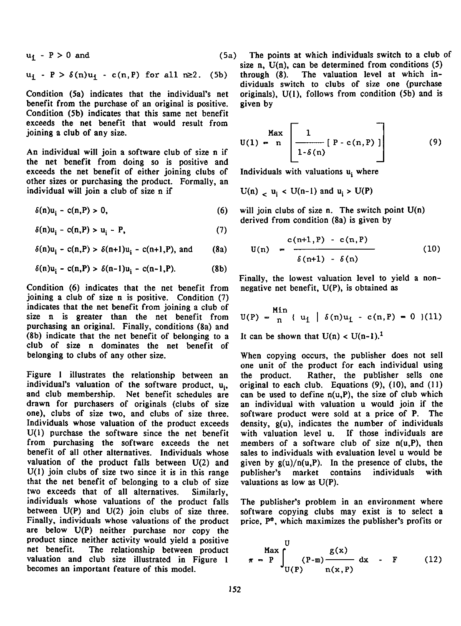$$
u_{\mathbf{i}} - P > 0 \text{ and } (5a)
$$

$$
u_{\mathbf{i}} - P > \delta(n)u_{\mathbf{i}} - c(n, P) \text{ for all } n \ge 2. \quad (5b)
$$

benefit from the purchase of an original is positive. given by Condition (5b) indicates that this same net benefit exceeds the net benefit that would result from joining a club of any size.

An individual will join a software club of size n if the net benefit from doing so is positive and<br>exceeds the net benefit of either joining clubs of Individuals with valuations  $u_i$  where exceeds the net benefit of either joining clubs of other sizes or purchasing the product. Formally, an individual will join a club of size n if  $U(n)$   $\downarrow$   $u_i$  <  $U(n-1)$  and  $u_i$  >  $U(P)$ 

$$
\delta(n)u_i - c(n,P) > 0,
$$
\n(6)

 $\delta(n)u_i - c(n,P) > u_i - P,$  (7)

 $\delta(n)u_i - c(n,P) > \delta(n+1)u_i - c(n+1,P)$ , and (8a)

$$
\delta(n)u_i - c(n,P) > \delta(n-1)u_i - c(n-1,P).
$$
 (8b)

Condition (6) indicates that the net benefit from negative net benefit, U(P), is obtained as joining <sup>a</sup> club of size n is positive. Condition (7) indicates that the net benefit from joining a club of size  $n$  is greater than the net benefit from purchasing an original. Finally, conditions (8a) and (8b) indicate that the net benefit of belonging to a It can be shown that  $U(n) < U(n-1)$ . club of size n dominates the net benefit of belonging to clubs of any other size.

Figure <sup>1</sup> illustrates the relationship between an the product. Rather, the publisher sells one individual's valuation of the software product,  $u_i$ , original to each club. Equations (9), (10), and (11) and club membership. Net benefit schedules are can be used to define  $n(u, P)$ , the size of club which and club membership. Net benefit schedules are can be used to define  $n(u,P)$ , the size of club which drawn for purchasers of originals (clubs of size an individual with valuation u would join if the drawn for purchasers of originals (clubs of size an individual with valuation u would join if the one), clubs of size two, and clubs of size three. software product were sold at a price of P. The Individuals whose valuation of the product exceeds density, g(u), indicates the number of individuals  $U(1)$  purchase the software since the net benefit with valuation level u. If those individuals are from purchasing the software exceeds the net members of <sup>a</sup> software club of size n(u,P), then benefit of all other alternatives. Individuals whose sales to individuals with evaluation level u would be valuation of the product falls between  $U(2)$  and given by  $g(u)/n(u,P)$ . In the presence of clubs, the  $U(1)$  join clubs of size two since it is in this range publisher's market contains individuals with that the net benefit of belonging to <sup>a</sup> club of size valuations as low as U(P). two exceeds that of all alternatives. Similarly, individuals whose valuations of the product falls between U(P) and U(2) join clubs of size three. software copying clubs may exist is to select <sup>a</sup> Finally, individuals whose valuations of the product price,  $P^*$ , which maximizes the publisher's profits or are below U(P) neither purchase nor copy the product since neither activity would yield a positive<br>net benefit. The relationship between product The relationship between product valuation and club size illustrated in Figure 1 becomes an important feature of this model.

) The points at which individuals switch to a club of size n,  $U(n)$ , can be determined from conditions  $(5)$ through  $(8)$ . The valuation level at which individuals switch to clubs of size one (purchase Condition (5a) indicates that the individual's net originals), U(1), follows from condition (5b) and is

$$
U(1) = n \left[\frac{1}{1-\delta(n)} [P - c(n, P)]\right]
$$
 (9)

will join clubs of size n. The switch point  $U(n)$ derived from condition (8a) is given by

$$
U(n) = \frac{c(n+1, P) - c(n, P)}{\delta(n+1) - \delta(n)}
$$
(10)

Finally, the lowest valuation level to yield a non-

$$
U(P) = \frac{Min}{n} \{ u_i \mid \delta(n)u_i - c(n, P) = 0 \} (11)
$$

When copying occurs, the publisher does not sell one unit of the product for each individual using software product were sold at a price of P. The

The publisher's problem in an environment where

$$
\pi = P \int_{U(P)}^{U} (P-m) \frac{g(x)}{n(x,P)} dx - F
$$
 (12)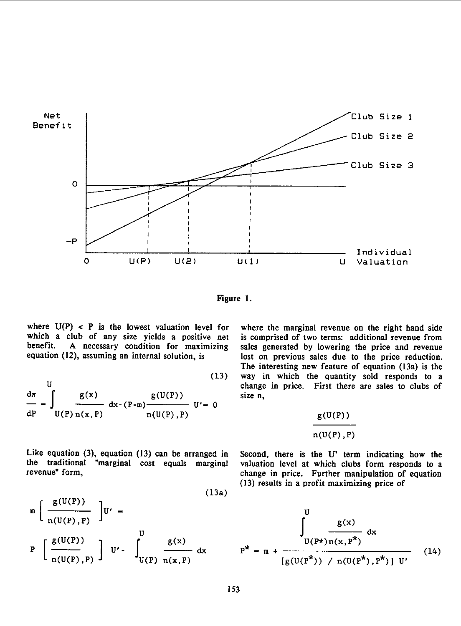

Figure 1.

where  $U(P) < P$  is the lowest valuation level for where the marginal revenue on the right hand side which a club of any size yields a positive net is comprised of two terms: additional revenue from which a club of any size yields a positive net benefit. A necessary condition for maximizing benefit. A necessary condition for maximizing sales generated by lowering the price and revenue equation (12), assuming an internal solution, is lost on previous sales due to the price reduction.

$$
\frac{d\pi}{dP} - \int_{U(P)} \frac{g(x)}{dx - (P-m)} dx - \int_{\pi(U(P), P)} g(U(P)) dx
$$
\n(15) way in which the quantum change in price. First the  
\n
$$
\frac{d\pi}{dx} = \int_{U(P)} \frac{g(x)}{n(x, P)} dx - \int_{\pi(U(P), P)} g(U(P)) dx
$$
\n(15)

Like equation (3), equation (13) can be arranged in Second, there is the U' term indicating how the the traditional "marginal cost equals marginal valuation level at which clubs form responds to a the traditional "marginal cost equals marginal revenue" form,

(13a)  
\n
$$
\begin{array}{c}\n\text{(13a)} \\
\text{(13a)} \\
\text{(13a)} \\
\text{(13a)} \\
\text{(13a)} \\
\text{(13a)} \\
\text{(13a)} \\
\text{(13a)} \\
\text{(13a)} \\
\text{(13a)} \\
\text{(13a)} \\
\text{(13a)} \\
\text{(13a)} \\
\text{(13a)} \\
\text{(13a)} \\
\text{(13a)} \\
\text{(13a)} \\
\text{(13a)} \\
\text{(13a)} \\
\text{(13a)} \\
\text{(13a)} \\
\text{(13a)} \\
\text{(13a)} \\
\text{(13a)} \\
\text{(13a)} \\
\text{(13a)} \\
\text{(13a)} \\
\text{(13a)} \\
\text{(13a)} \\
\text{(13a)} \\
\text{(13a)} \\
\text{(13a)} \\
\text{(13a)} \\
\text{(13a)} \\
\text{(13a)} \\
\text{(13a)} \\
\text{(13a)} \\
\text{(13a)} \\
\text{(13a)} \\
\text{(13a)} \\
\text{(13a)} \\
\text{(13a)} \\
\text{(13a)} \\
\text{(13a)} \\
\text{(13a)} \\
\text{(13a)} \\
\text{(13a)} \\
\text{(13a)} \\
\text{(13a)} \\
\text{(13a)} \\
\text{(13a)} \\
\text{(13a)} \\
\text{(13a)} \\
\text{(13a)} \\
\text{(13a)} \\
\text{(13a)} \\
\text{(13a)} \\
\text{(13a)} \\
\text{(13a)} \\
\text{(13a)} \\
\text{(13a)} \\
\text{(13a)} \\
\text{(13a)} \\
\text{(13a)} \\
\text{(13a)} \\
\text{(13a)} \\
\text{(13a)} \\
\text{(13a)} \\
\text{(13a)} \\
\text{(13a)} \\
\text{(13a)} \\
\text{(13a)} \\
\text{(13a)} \\
\text{(13a)} \\
\text{(13a)} \\
\text{(13a)} \\
\text{(13a)} \\
\text{(13a)} \\
\text{(13a)} \\
\text{(13a)} \\
\text{(13a)} \\
\text{(13a)} \\
\text{(13a)} \\
\text{(13a)} \\
\text{(13a)} \\
\text{(13a)} \\
\text{(13a)} \\
\text{(13a)} \\
\text{(13a)} \\
\text{(13a)} \\
\text{(13a)} \\
\text{(13a)} \\
\text{(13a)} \\
$$

lost on previous sales due to the price reduction. The interesting new feature of equation (13a) is the (13) way in which the quantity sold responds to a change in price. First there are sales to clubs of size n,

$$
\frac{g(U(P))}{n(U(P),P)}
$$

change in price. Further manipulation of equation (13) results in a profit maximizing price of

$$
\mathbb{P}\left[\frac{g(U(P))}{n(U(P),P)}\right]U' - \int_{U(P)}^{U} \frac{g(x)}{n(x,P)} dx \qquad P^* = m + \frac{U(P^*)n(x,P^*)}{[g(U(P^*)) / n(U(P^*),P^*)] U'} \qquad (14)
$$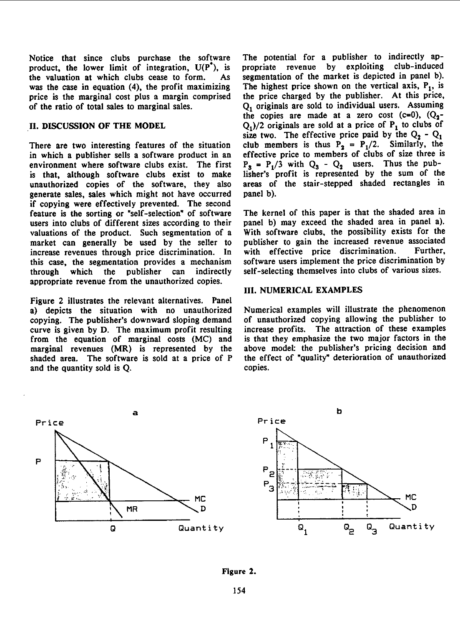Notice that since clubs purchase the software The potential for a publisher to indirectly approduct, the lower limit of integration,  $U(P^*)$ , is propriate revenue by exploiting club-induced product, the lower limit of integration,  $U(P^*)$ , is the valuation at which clubs cease to form. As segmentation of the market is depicted in panel b). was the case in equation (4), the profit maximizing The highest price shown on the vertical axis,  $P_1$ , is price is the marginal cost plus <sup>a</sup> margin comprised the price charged by the publisher. At this price,

in which <sup>a</sup> publisher sells <sup>a</sup> software product in an effective price to members of clubs of size three is environment where software clubs exist. The first  $P_3 = P_1/3$  with  $Q_3 - Q_2$  users. Thus the pubis that, although software clubs exist to make lisher's profit is represented by the sum of the unauthorized copies of the software, they also areas of the stair-stepped shaded rectangles in unauthorized copies of the software, they also generate sales, sales which might not have occurred panel b). if copying were effectively prevented. The second feature is the sorting or "self-selection" of software The kernel of this paper is that the shaded area in users into clubs of different sizes according to their panel b) may exceed the shaded area in panel a).<br>valuations of the product. Such segmentation of a With software clubs, the possibility exists for the valuations of the product. Such segmentation of a With software clubs, the possibility exists for the market can generally be used by the seller to publisher to gain the increased revenue associated market can generally be used by the seller to publisher to gain the increased revenue associated<br>increase revenues through price discrimination. In with effective price discrimination. Further, increase revenues through price discrimination. In with effective price discrimination. Further,<br>this case, the segmentation provides a mechanism software users implement the price discrimination by this case, the segmentation provides a mechanism through which the publisher can indirectly self-selecting themselves into clubs of various sizes. appropriate revenue from the unauthorized copies.

Figure 2 illustrates the relevant alternatives. Panel a) depicts the situation with no unauthorized Numerical examples will illustrate the phenomenon conving. The publisher's downward sloping demand of unauthorized copying allowing the publisher to copying. The publisher's downward sloping demand of unauthorized copying allowing the publisher to<br>curve is given by D. The maximum profit resulting increase profits. The attraction of these examples curve is given by D. The maximum profit resulting. from the equation of marginal costs (MC) and is that they emphasize the two major factors in the marginal revenues (MR) is represented by the above model: the publisher's pricing decision and marginal revenues (MR) is represented by the shaded area. The software is sold at <sup>a</sup> price of P the effect of "quality" deterioration of unauthorized and the quantity sold is Q. copies.

of the ratio of total sales to marginal sales. Q<sub>1</sub> originals are sold to individual users. Assuming the copies are made at a zero cost  $(c=0)$ ,  $(Q_2-$ II. DISCUSSION OF THE MODEL  $Q_1/2$  originals are sold at a price of  $P_1$  to clubs of size two. The effective price paid by the  $Q_2 - Q_1$ There are two interesting features of the situation club members is thus  $P_2 = P_1/2$ . Similarly, the

### III. NUMERICAL EXAMPLES



### Figure 2.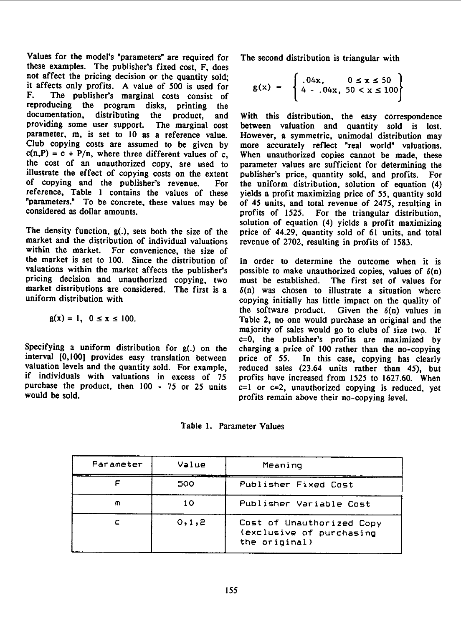Values for the model's "parameters" are required for The second distribution is triangular with these examples. The publisher's fixed cost, F, does not affect the pricing decision or the quantity sold; it affects only profits. A value of 500 is used for It arrects only profits. A value of 500 is used for<br>F. The publisher's marginal costs consist of<br>reproducing the program disks, printing the reproducing the program disks, printing<br>documentation, distributing the product, documentation, distributing the product, and With this distribution, the easy correspondence<br>providing some user support. The marginal cost between valuation and quantity sold is lost. parameter, m, is set to 10 as a reference value. However, a symmetric, unimodal distribution may Club copying costs are assumed to be given by more accurately reflect "real world" valuations.  $c(n,P) = c + P/n$ , where three different values of c, When unauthorized copies cannot be made, these the cost of an unauthorized copy, are used to parameter values are sufficient for determining the illustrate the effect of copying costs on the extent publisher's price, quantity sold, and profits. For illustrate the effect of copying costs on the extent publisher's price, quantity sold, and profits. For reference, Table 1 contains the values of these yields a profit maximizing price of 55, quantity sold "parameters." To be concrete, these values may be of 45 units, and total revenue of 2475, resulting in "parameters." To be concrete, these values may be of 45 units, and total revenue of 2475, resulting in considered as dollar amounts.

market and the distribution of individual valuations revenue of 2702, resulting in profits of 1583. within the market. For convenience, the size of the market is set to 100. Since the distribution of the market is set to 100. Since the distribution of In order to determine the outcome when it is valuations within the market affects the publisher's possible to make unauthorized copies, values of  $\delta(n)$ pricing decision and unauthorized copying, two must be established. The first set of values for market distributions are considered. The first is a  $\delta(n)$  was chosen to illustrate a situation where market distributions are considered. The first is a  $\delta(n)$  was chosen to illustrate a situation where<br>uniform distribution with  $\delta$ 

$$
g(x) = 1, \ 0 \le x \le 100.
$$

Specifying a uniform distribution for  $g(.)$  on the charging a price of 100 rather than the no-copying interval  $[0,100]$  provides easy translation between price of 55. In this case, copying has clearly interval [0,100] provides easy translation between valuation levels and the quantity sold. For example, reduced sales (23.64 units rather than 45), but if individuals with valuations in excess of 75 profits have increased from 1525 to 1627.60. When<br>purchase the product, then 100 - 75 or 25 units c=1 or c=2, unauthorized copying is reduced, yet purchase the product, then  $100 - 75$  or  $25$  units c=1 or c=2, unauthorized copying is reduced, yet would be sold.

$$
g(x) = \begin{cases} .04x, & 0 \le x \le 50 \\ 4 - .04x, & 50 < x \le 100 \end{cases}
$$

between valuation and quantity sold is lost. For the uniform distribution, solution of equation (4) profits of 1525. For the triangular distribution, solution of equation (4) yields <sup>a</sup> profit maximizing The density function, g(.), sets both the size of the price of 44.29, quantity sold of <sup>61</sup> units, and total

> possible to make unauthorized copies, values of  $\delta(n)$ copying initially has little impact on the quality of the software product. Given the  $\delta(n)$  values in Table 2, no one would purchase an original and the majority of sales would go to clubs of size two. If c=0, the publisher's profits are maximized by profits remain above their no-copying level.

Table 1. Parameter Values

| Parameter | Value   | Meaning                                                                |
|-----------|---------|------------------------------------------------------------------------|
|           | 500     | Publisher Fixed Cost                                                   |
| m         | 10      | Publisher Variable Cost                                                |
|           | 0, 1, 2 | Cost of Unauthorized Copy<br>(exclusive of purchasing<br>the original) |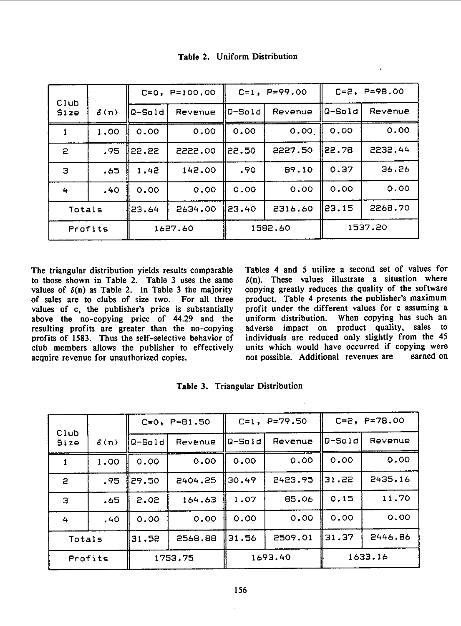|              |             |          | $C=0$ , $P=100.00$ | $C=1$ , $P=99.00$ |         | $C=2$ , $P=98.00$ |         |
|--------------|-------------|----------|--------------------|-------------------|---------|-------------------|---------|
| Club<br>Size | $\delta(n)$ | $Q-Sold$ | Revenue            | $Q-Sold$          | Revenue | Q-Sold            | Revenue |
|              | 1.00        | 0.00     | 0.00               | 0.00              | 0.00    | 0.00              | 0.00    |
| $\mathbf{P}$ | .95         | 22.22    | 2222.00            | 122.50            | 2227.50 | II 22.78          | 2232.44 |
| Э            | .65         | 1.42     | 142.00             | .90               | 89.10   | 0.37              | 36.26   |
| 4            | .40         | 0.00     | 0.00               | 0.00              | 0.00    | 0.00              | 0.00    |
| Totals       |             | 23.64    | 2634.00            | 23.40             | 2316.60 | 123.15            | 2268.70 |
| Profits      |             | 1627.60  |                    | 1582.60           |         | 1537.20           |         |

Table 2. Uniform Distribution

The triangular distribution yields results comparable Tables 4 and 5 utilize a second set of values for to those shown in Table 2. Table 3 uses the same  $\delta(n)$ . These values illustrate a situation where to those shown in Table 2. Table 3 uses the same values of  $\delta(n)$  as Table 2. In Table 3 the majority of sales are to clubs of size two. For all three product. Table 4 presents the publisher's maximum<br>values of c. the publisher's price is substantially profit under the different values for c assuming a values of c, the publisher's price is substantially profit under the different values for c assuming a above the no-copying price of 44.29 and the uniform distribution. When copying has such an above the no-copying price of 44.29 and the uniform distribution. When copying has such an resulting profits are greater than the no-copying adverse impact on product quality, sales to resulting profits are greater than the no-copying adverse impact on product quality, sales to profits of 1583. Thus the self-selective behavior of individuals are reduced only slightly from the 45 profits of 1583. Thus the self-selective behavior of club members allows the publisher to effectively acquire revenue for unauthorized copies.

copying greatly reduces the quality of the software product. Table 4 presents the publisher's maximum units which would have occurred if copying were<br>not possible. Additional revenues are earned on

|              |             | $C=0$ , $P=81.50$ |         | $C=1$ , $P=79.50$ |         | $C=2$ , $P=78.00$ |         |
|--------------|-------------|-------------------|---------|-------------------|---------|-------------------|---------|
| Club<br>Size | $\delta(n)$ | Q-Sold            | Revenue | llQ-Sold          | Revenue | Q-Sold            | Revenue |
|              | 1.00        | 0.00              | 0.00    | 0.00              | 0.00    | 0.00              | 0.00    |
| $\mathbf{z}$ | .95         | 29.50             | 2404.25 | 130.49            | 2423.95 | 131.22            | 2435.16 |
| Э            | .65         | 2.02              | 164.63  | 1.07              | 85.06   | 0.15              | 11.70   |
| 4            | .40         | 0.00              | 0.00    | 0.00              | 0.00    | 0.00              | 0.00    |
| Totals       |             | 31.52             | 2568.88 | 31.56             | 2509.01 | 131.37            | 2446.86 |
| Profits      |             | 1753.75           |         | 1693.40           |         | 1633.16           |         |

Table 3. Triangular Distribution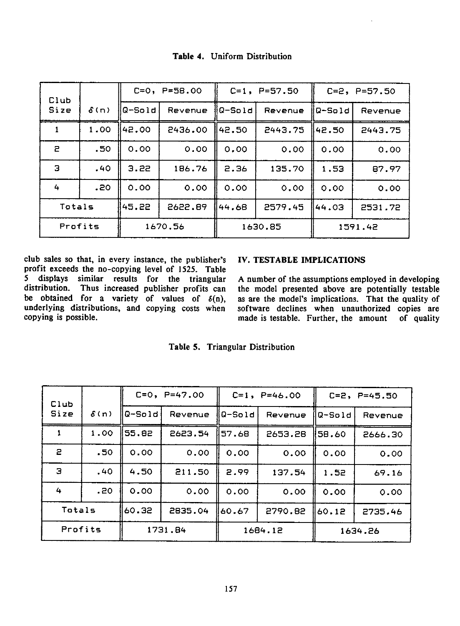| Club         |             |         | $C=0$ , $P=58.00$ | $C=1$ , $P=57.50$ |         | $C=2$ , $P=57.50$ |         |
|--------------|-------------|---------|-------------------|-------------------|---------|-------------------|---------|
| Size         | $\delta(n)$ | Q-Sold  | Revenue           | lQ-Sold           | Revenue | Q-Sold            | Revenue |
|              | 1.00        | 142.00  | 2436.00           | 142.50            | 2443.75 | 42.50             | 2443.75 |
| $\mathbf{z}$ | .50         | 0.00    | 0.00              | 0.00              | 0.00    | 0.00              | 0.00    |
| в            | .40         | 3.22    | 186.76            | 2.36              | 135.70  | 1.53              | 87.97   |
| 4            | .20         | 0.00    | 0.00              | 0.00              | 0.00    | 0.00              | 0.00    |
| Totals       |             | 145.22  | 2622.89           | 144.68            | 2579.45 | 44.03             | 2531.72 |
| Profits      |             | 1670.56 |                   | 1630.85           |         | 1591.42           |         |

Table 4. Uniform Distribution

club sales so that, in every instance, the publisher's IV. TESTABLE IMPLICATIONS profit exceeds the no-copying level of 1525. Table 5 displays similar results for the triangular A number of the assumptions employed in developing distribution. Thus increased publisher profits can the model presented above are potentially testable be obtained for a variety of values of  $\delta(n)$ , underlying distributions, and copying costs when underlying distributions, and copying costs when software declines when unauthorized copies are copying is possible.<br>made is testable. Further, the amount of quality

the model presented above are potentially testable as are the model's implications. That the quality of made is testable. Further, the amount of quality

| Table 5. |  | <b>Triangular Distribution</b> |
|----------|--|--------------------------------|
|----------|--|--------------------------------|

| Club         |                  | $C=0$ , $P=47.00$ |         | $C=1$ , $P=46.00$ |         | $C=2$ , $P=45.50$ |         |
|--------------|------------------|-------------------|---------|-------------------|---------|-------------------|---------|
| Size         | $\delta(n)$      | llQ-Sold          | Revenue | Q-Sold            | Revenue | lQ-Sold           | Revenue |
|              | 1.00             | 55.82             | 2623.54 | 57.68             | 2653.28 | 158.60            | 2666.30 |
| $\mathbf{z}$ | .50 <sub>2</sub> | 0.00              | 0.00    | 0.00              | 0.00    | 0.00              | 0.00    |
| Э            | .40              | 4.50              | 211.50  | 2.99              | 137.54  | 1.52              | 69.16   |
| 4            | .20              | 0.00              | 0.00    | 0.00              | 0.00    | 0.00              | 0.00    |
| Totals       |                  | 56.06             | 2835.04 | 60.67             | 2790.82 | 60.12             | 2735.46 |
| Profits      |                  | 1731.84           |         | 1684.12           |         | 1634.26           |         |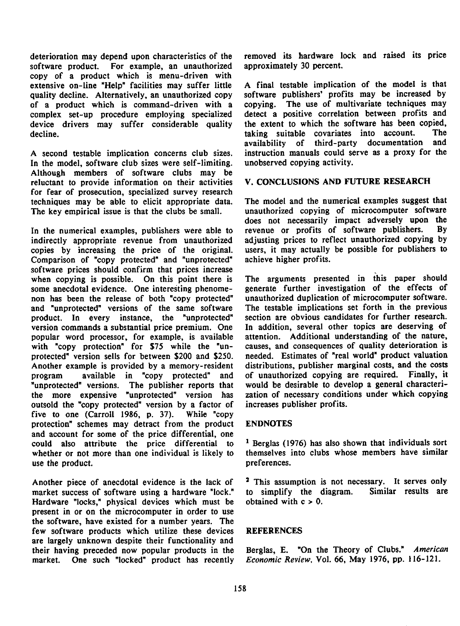deterioration may depend upon characteristics of the removed its hardware lock and raised its price<br>software product. For example, an unauthorized approximately 30 percent. software product. For example, an unauthorized copy of a product which is menu-driven with extensive on-line "Help" facilities may suffer little quality decline. Alternatively, an unauthorized copy software publishers' profits may be increased by of a product which is command-driven with a copying. The use of multivariate techniques may of a product which is command-driven with a copying. The use of multivariate techniques may complex set-up procedure employing specialized detect a positive correlation between profits and complex set-up procedure employing specialized detect a positive correlation between profits and<br>device drivers may suffer considerable quality the extent to which the software has been copied, device drivers may suffer considerable quality the extent to which the software has been copied,<br>decline taking suitable covariates into account. The

In the model, software club sizes were self-limiting. unobserved copying activity. Although members of software clubs may be reluctant to provide information on their activities V. CONCLUSIONS AND FUTURE RESEARCH for fear of prosecution, specialized survey research techniques may be able to elicit appropriate data. The model and the numerical examples suggest that<br>The key empirical issue is that the clubs be small. unauthorized copying of microcomputer software The key empirical issue is that the clubs be small.

indirectly appropriate revenue from unauthorized adjusting prices to reflect unauthorized copying by copies by increasing the price of the original. users, it may actually be possible for publishers to Comparison of "copy protected" and "unprotected" achieve higher profits. software prices should confirm that prices increase when copying is possible. On this point there is The arguments presented in this paper should<br>some anecdotal evidence. One interesting phenome-<br>generate further investigation of the effects of some anecdotal evidence. One interesting phenome-<br>non has been the release of both "copy protected" unauthorized duplication of microcomputer software. non has been the release of both "copy protected" unauthorized duplication of microcomputer software.<br>and "unprotected" versions of the same software The testable implications set forth in the previous and "unprotected" versions of the same software The testable implications set forth in the previous product. In every instance, the "unprotected" section are obvious candidates for further research. product. In every instance, the "unprotected" version commands <sup>a</sup> substantial price premium. One In addition, several other topics are deserving of popular word processor, for example, is available attention. Additional understanding of the nature, with "copy protection" for \$75 while the "un- causes, and consequences of quality deterioration is with "copy protection" for \$75 while the "unprotected" version sells for between \$200 and \$250. needed. Estimates of "real world" product valuation Another example is provided by a memory-resident distributions, publisher marginal costs, and the costs program available in "copy protected" and of unauthorized copying are required. Finally, it "unprotected" versions. The publisher reports that would be desirable to develop a general characteri-<br>the more expensive "unprotected" version has zation of necessary conditions under which copying the more expensive "unprotected" version has zation of necessary conditions used the "copy protected" version by a factor of increases publisher profits. outsold the "copy protected" version by a factor of five to one (Carroll 1986. p. 37). While "copy protection" schemes may detract from the product ENDNOTES and account for some of the price differential, one could also attribute the price differential to  $1$  Berglas (1976) has also shown that individuals sort whether or not more than one individual is likely to themselves into clubs whose members have similar use the product.  $\blacksquare$ 

Another piece of anecdotal evidence is the lack of  $\frac{2}{3}$  This assumption is not necessary. It serves only market success of software using a hardware "lock." to simplify the diagram. Similar results are market success of software using a hardware "lock." Hardware "locks," physical devices which must be obtained with  $c > 0$ . present in or on the microcomputer in order to use the software, have existed for a number years. The few software products which utilize these devices REFERENCES are largely unknown despite their functionality and their having preceded now popular products in the Berglas, E. "On the Theory of Clubs." American<br>market. One such "locked" product has recently *Economic Review*, Vol. 66, May 1976, pp. 116-121. market. One such "locked" product has recently

A final testable implication of the model is that software publishers' profits may be increased by decline. The covariates into account. The taking suitable covariates into account. The decline. availability of third-party A second testable implication concerns club sizes. instruction manuals could serve as <sup>a</sup> proxy for the

does not necessarily impact adversely upon the revenue or profits of software publishers. By In the numerical examples, publishers were able to revenue or profits of software publishers. By